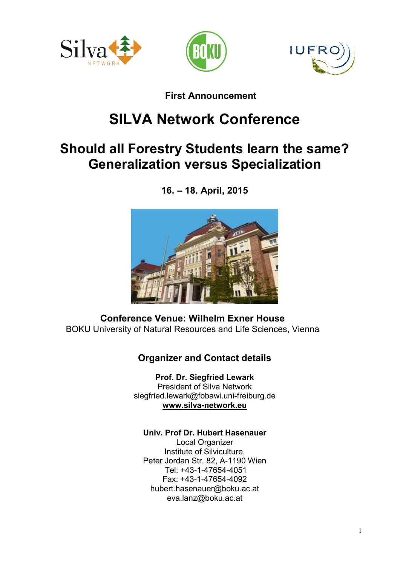





## First Announcement

# SILVA Network Conference

## Should all Forestry Students learn the same? Generalization versus Specialization

16. – 18. April, 2015



Conference Venue: Wilhelm Exner House BOKU University of Natural Resources and Life Sciences, Vienna

## Organizer and Contact details

Prof. Dr. Siegfried Lewark President of Silva Network siegfried.lewark@fobawi.uni-freiburg.de www.silva-network.eu

#### Univ. Prof Dr. Hubert Hasenauer

Local Organizer Institute of Silviculture, Peter Jordan Str. 82, A-1190 Wien Tel: +43-1-47654-4051 Fax: +43-1-47654-4092 hubert.hasenauer@boku.ac.at eva.lanz@boku.ac.at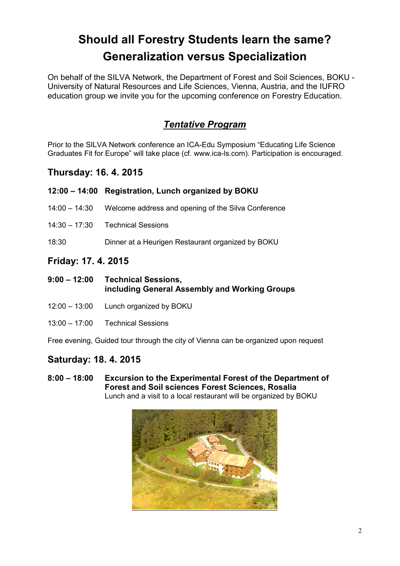## Should all Forestry Students learn the same? Generalization versus Specialization

On behalf of the SILVA Network, the Department of Forest and Soil Sciences, BOKU - University of Natural Resources and Life Sciences, Vienna, Austria, and the IUFRO education group we invite you for the upcoming conference on Forestry Education.

## *Tentative Program*

Prior to the SILVA Network conference an ICA-Edu Symposium "Educating Life Science Graduates Fit for Europe" will take place (cf. www.ica-ls.com). Participation is encouraged.

#### Thursday: 16. 4. 2015

|                 | 12:00 – 14:00 Registration, Lunch organized by BOKU |
|-----------------|-----------------------------------------------------|
| $14:00 - 14:30$ | Welcome address and opening of the Silva Conference |
|                 | 14:30 - 17:30 Technical Sessions                    |
| 18:30           | Dinner at a Heurigen Restaurant organized by BOKU   |

### Friday: 17. 4. 2015

- 9:00 12:00 Technical Sessions, including General Assembly and Working Groups
- 12:00 13:00 Lunch organized by BOKU
- 13:00 17:00 Technical Sessions

Free evening, Guided tour through the city of Vienna can be organized upon request

#### Saturday: 18. 4. 2015

8:00 – 18:00 Excursion to the Experimental Forest of the Department of Forest and Soil sciences Forest Sciences, Rosalia Lunch and a visit to a local restaurant will be organized by BOKU

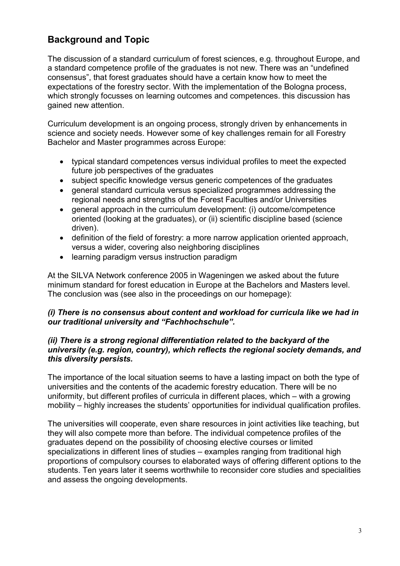## Background and Topic

The discussion of a standard curriculum of forest sciences, e.g. throughout Europe, and a standard competence profile of the graduates is not new. There was an "undefined consensus", that forest graduates should have a certain know how to meet the expectations of the forestry sector. With the implementation of the Bologna process, which strongly focusses on learning outcomes and competences. this discussion has gained new attention.

Curriculum development is an ongoing process, strongly driven by enhancements in science and society needs. However some of key challenges remain for all Forestry Bachelor and Master programmes across Europe:

- typical standard competences versus individual profiles to meet the expected future job perspectives of the graduates
- subject specific knowledge versus generic competences of the graduates
- general standard curricula versus specialized programmes addressing the regional needs and strengths of the Forest Faculties and/or Universities
- general approach in the curriculum development: (i) outcome/competence oriented (looking at the graduates), or (ii) scientific discipline based (science driven).
- definition of the field of forestry: a more narrow application oriented approach, versus a wider, covering also neighboring disciplines
- learning paradigm versus instruction paradigm

At the SILVA Network conference 2005 in Wageningen we asked about the future minimum standard for forest education in Europe at the Bachelors and Masters level. The conclusion was (see also in the proceedings on our homepage):

#### *(i) There is no consensus about content and workload for curricula like we had in our traditional university and "Fachhochschule".*

#### *(ii) There is a strong regional differentiation related to the backyard of the university (e.g. region, country), which reflects the regional society demands, and this diversity persists.*

The importance of the local situation seems to have a lasting impact on both the type of universities and the contents of the academic forestry education. There will be no uniformity, but different profiles of curricula in different places, which – with a growing mobility – highly increases the students' opportunities for individual qualification profiles.

The universities will cooperate, even share resources in joint activities like teaching, but they will also compete more than before. The individual competence profiles of the graduates depend on the possibility of choosing elective courses or limited specializations in different lines of studies – examples ranging from traditional high proportions of compulsory courses to elaborated ways of offering different options to the students. Ten years later it seems worthwhile to reconsider core studies and specialities and assess the ongoing developments.